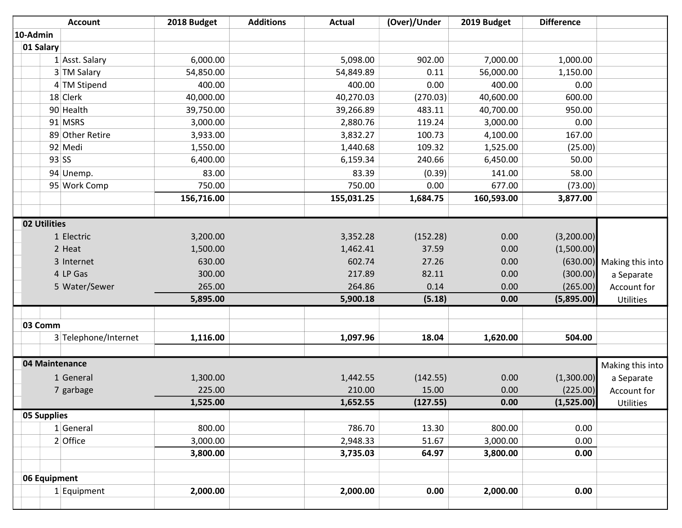| <b>Account</b>       | 2018 Budget | <b>Additions</b> | <b>Actual</b> | (Over)/Under | 2019 Budget | <b>Difference</b> |                           |
|----------------------|-------------|------------------|---------------|--------------|-------------|-------------------|---------------------------|
| 10-Admin             |             |                  |               |              |             |                   |                           |
| 01 Salary            |             |                  |               |              |             |                   |                           |
| 1 Asst. Salary       | 6,000.00    |                  | 5,098.00      | 902.00       | 7,000.00    | 1,000.00          |                           |
| 3 TM Salary          | 54,850.00   |                  | 54,849.89     | 0.11         | 56,000.00   | 1,150.00          |                           |
| 4 TM Stipend         | 400.00      |                  | 400.00        | 0.00         | 400.00      | 0.00              |                           |
| 18 Clerk             | 40,000.00   |                  | 40,270.03     | (270.03)     | 40,600.00   | 600.00            |                           |
| 90 Health            | 39,750.00   |                  | 39,266.89     | 483.11       | 40,700.00   | 950.00            |                           |
| 91 MSRS              | 3,000.00    |                  | 2,880.76      | 119.24       | 3,000.00    | 0.00              |                           |
| 89 Other Retire      | 3,933.00    |                  | 3,832.27      | 100.73       | 4,100.00    | 167.00            |                           |
| 92 Medi              | 1,550.00    |                  | 1,440.68      | 109.32       | 1,525.00    | (25.00)           |                           |
| $93$ SS              | 6,400.00    |                  | 6,159.34      | 240.66       | 6,450.00    | 50.00             |                           |
| 94 Unemp.            | 83.00       |                  | 83.39         | (0.39)       | 141.00      | 58.00             |                           |
| 95 Work Comp         | 750.00      |                  | 750.00        | 0.00         | 677.00      | (73.00)           |                           |
|                      | 156,716.00  |                  | 155,031.25    | 1,684.75     | 160,593.00  | 3,877.00          |                           |
|                      |             |                  |               |              |             |                   |                           |
| 02 Utilities         |             |                  |               |              |             |                   |                           |
| 1 Electric           | 3,200.00    |                  | 3,352.28      | (152.28)     | 0.00        | (3,200.00)        |                           |
| 2 Heat               | 1,500.00    |                  | 1,462.41      | 37.59        | 0.00        | (1,500.00)        |                           |
| 3 Internet           | 630.00      |                  | 602.74        | 27.26        | 0.00        |                   | (630.00) Making this into |
| 4 LP Gas             | 300.00      |                  | 217.89        | 82.11        | 0.00        | (300.00)          | a Separate                |
| 5 Water/Sewer        | 265.00      |                  | 264.86        | 0.14         | 0.00        | (265.00)          | Account for               |
|                      | 5,895.00    |                  | 5,900.18      | (5.18)       | 0.00        | (5,895.00)        | Utilities                 |
|                      |             |                  |               |              |             |                   |                           |
| 03 Comm              |             |                  |               |              |             |                   |                           |
| 3 Telephone/Internet | 1,116.00    |                  | 1,097.96      | 18.04        | 1,620.00    | 504.00            |                           |
|                      |             |                  |               |              |             |                   |                           |
| 04 Maintenance       |             |                  |               |              |             |                   | Making this into          |
| 1 General            | 1,300.00    |                  | 1,442.55      | (142.55)     | 0.00        | (1,300.00)        | a Separate                |
| 7 garbage            | 225.00      |                  | 210.00        | 15.00        | 0.00        | (225.00)          | Account for               |
|                      | 1,525.00    |                  | 1,652.55      | (127.55)     | 0.00        | (1,525.00)        | Utilities                 |
| 05 Supplies          |             |                  |               |              |             |                   |                           |
| 1 General            | 800.00      |                  | 786.70        | 13.30        | 800.00      | 0.00              |                           |
| 2 Office             | 3,000.00    |                  | 2,948.33      | 51.67        | 3,000.00    | 0.00              |                           |
|                      | 3,800.00    |                  | 3,735.03      | 64.97        | 3,800.00    | 0.00              |                           |
|                      |             |                  |               |              |             |                   |                           |
| 06 Equipment         |             |                  |               |              |             |                   |                           |
| $1$ Equipment        | 2,000.00    |                  | 2,000.00      | 0.00         | 2,000.00    | 0.00              |                           |
|                      |             |                  |               |              |             |                   |                           |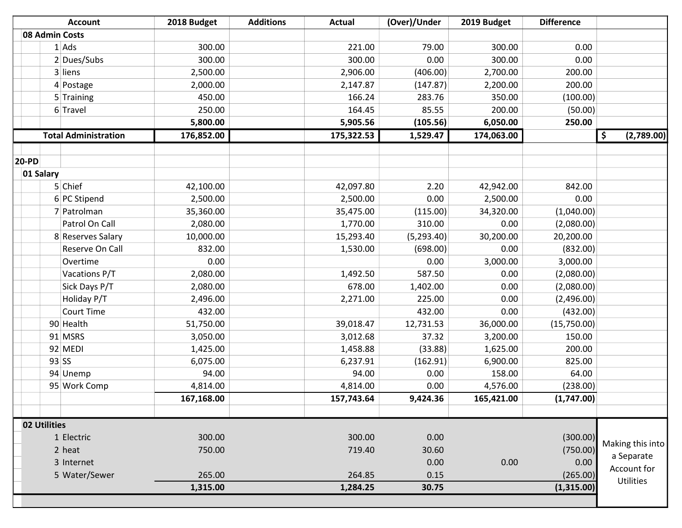| <b>Account</b>              | 2018 Budget | <b>Additions</b> | <b>Actual</b> | (Over)/Under | 2019 Budget | <b>Difference</b> |                  |
|-----------------------------|-------------|------------------|---------------|--------------|-------------|-------------------|------------------|
| 08 Admin Costs              |             |                  |               |              |             |                   |                  |
| 1 Ads                       |             | 300.00           | 221.00        | 79.00        | 300.00      | 0.00              |                  |
| 2 Dues/Subs                 |             | 300.00           | 300.00        | 0.00         | 300.00      | 0.00              |                  |
| 3 liens                     | 2,500.00    |                  | 2,906.00      | (406.00)     | 2,700.00    | 200.00            |                  |
| 4 Postage                   | 2,000.00    |                  | 2,147.87      | (147.87)     | 2,200.00    | 200.00            |                  |
| 5 Training                  |             | 450.00           | 166.24        | 283.76       | 350.00      | (100.00)          |                  |
| 6 Travel                    |             | 250.00           | 164.45        | 85.55        | 200.00      | (50.00)           |                  |
|                             | 5,800.00    |                  | 5,905.56      | (105.56)     | 6,050.00    | 250.00            |                  |
| <b>Total Administration</b> | 176,852.00  |                  | 175,322.53    | 1,529.47     | 174,063.00  |                   | \$<br>(2,789.00) |
|                             |             |                  |               |              |             |                   |                  |
| <b>20-PD</b>                |             |                  |               |              |             |                   |                  |
| 01 Salary                   |             |                  |               |              |             |                   |                  |
| 5 Chief                     | 42,100.00   |                  | 42,097.80     | 2.20         | 42,942.00   | 842.00            |                  |
| 6 PC Stipend                | 2,500.00    |                  | 2,500.00      | 0.00         | 2,500.00    | 0.00              |                  |
| 7 Patrolman                 | 35,360.00   |                  | 35,475.00     | (115.00)     | 34,320.00   | (1,040.00)        |                  |
| Patrol On Call              |             | 2,080.00         | 1,770.00      | 310.00       | 0.00        | (2,080.00)        |                  |
| 8 Reserves Salary           | 10,000.00   |                  | 15,293.40     | (5,293.40)   | 30,200.00   | 20,200.00         |                  |
| Reserve On Call             |             | 832.00           | 1,530.00      | (698.00)     | 0.00        | (832.00)          |                  |
| Overtime                    |             | 0.00             |               | 0.00         | 3,000.00    | 3,000.00          |                  |
| Vacations P/T               | 2,080.00    |                  | 1,492.50      | 587.50       | 0.00        | (2,080.00)        |                  |
| Sick Days P/T               | 2,080.00    |                  | 678.00        | 1,402.00     | 0.00        | (2,080.00)        |                  |
| Holiday P/T                 |             | 2,496.00         | 2,271.00      | 225.00       | 0.00        | (2,496.00)        |                  |
| <b>Court Time</b>           |             | 432.00           |               | 432.00       | 0.00        | (432.00)          |                  |
| 90 Health                   | 51,750.00   |                  | 39,018.47     | 12,731.53    | 36,000.00   | (15,750.00)       |                  |
| 91 MSRS                     | 3,050.00    |                  | 3,012.68      | 37.32        | 3,200.00    | 150.00            |                  |
| 92 MEDI                     | 1,425.00    |                  | 1,458.88      | (33.88)      | 1,625.00    | 200.00            |                  |
| $93$ SS                     |             | 6,075.00         | 6,237.91      | (162.91)     | 6,900.00    | 825.00            |                  |
| 94 Unemp                    |             | 94.00            | 94.00         | 0.00         | 158.00      | 64.00             |                  |
| 95 Work Comp                | 4,814.00    |                  | 4,814.00      | 0.00         | 4,576.00    | (238.00)          |                  |
|                             | 167,168.00  |                  | 157,743.64    | 9,424.36     | 165,421.00  | (1,747.00)        |                  |
|                             |             |                  |               |              |             |                   |                  |
| 02 Utilities                |             |                  |               |              |             |                   |                  |
| 1 Electric                  |             | 300.00           | 300.00        | 0.00         |             | (300.00)          | Making this into |
| 2 heat                      |             | 750.00           | 719.40        | 30.60        |             | (750.00)          | a Separate       |
| 3 Internet                  |             |                  |               | 0.00         | 0.00        | 0.00              | Account for      |
| 5 Water/Sewer               |             | 265.00           | 264.85        | 0.15         |             | (265.00)          | Utilities        |
|                             | 1,315.00    |                  | 1,284.25      | 30.75        |             | (1,315.00)        |                  |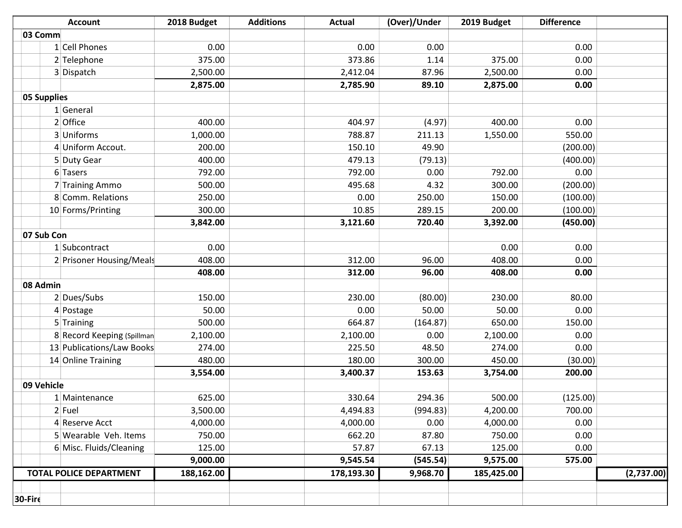|             | <b>Account</b>                 | 2018 Budget | <b>Additions</b> | <b>Actual</b> | (Over)/Under | 2019 Budget | <b>Difference</b> |            |
|-------------|--------------------------------|-------------|------------------|---------------|--------------|-------------|-------------------|------------|
| 03 Comm     |                                |             |                  |               |              |             |                   |            |
|             | 1 Cell Phones                  | 0.00        |                  | 0.00          | 0.00         |             | 0.00              |            |
|             | 2 Telephone                    | 375.00      |                  | 373.86        | 1.14         | 375.00      | 0.00              |            |
|             | 3 Dispatch                     | 2,500.00    |                  | 2,412.04      | 87.96        | 2,500.00    | 0.00              |            |
|             |                                | 2,875.00    |                  | 2,785.90      | 89.10        | 2,875.00    | 0.00              |            |
| 05 Supplies |                                |             |                  |               |              |             |                   |            |
|             | 1 General                      |             |                  |               |              |             |                   |            |
|             | 2 Office                       | 400.00      |                  | 404.97        | (4.97)       | 400.00      | 0.00              |            |
|             | 3 Uniforms                     | 1,000.00    |                  | 788.87        | 211.13       | 1,550.00    | 550.00            |            |
|             | 4 Uniform Accout.              | 200.00      |                  | 150.10        | 49.90        |             | (200.00)          |            |
|             | 5 Duty Gear                    | 400.00      |                  | 479.13        | (79.13)      |             | (400.00)          |            |
|             | 6 Tasers                       | 792.00      |                  | 792.00        | 0.00         | 792.00      | 0.00              |            |
|             | 7 Training Ammo                | 500.00      |                  | 495.68        | 4.32         | 300.00      | (200.00)          |            |
|             | 8 Comm. Relations              | 250.00      |                  | 0.00          | 250.00       | 150.00      | (100.00)          |            |
|             | 10 Forms/Printing              | 300.00      |                  | 10.85         | 289.15       | 200.00      | (100.00)          |            |
|             |                                | 3,842.00    |                  | 3,121.60      | 720.40       | 3,392.00    | (450.00)          |            |
| 07 Sub Con  |                                |             |                  |               |              |             |                   |            |
|             | 1 Subcontract                  | 0.00        |                  |               |              | 0.00        | 0.00              |            |
|             | 2 Prisoner Housing/Meals       | 408.00      |                  | 312.00        | 96.00        | 408.00      | 0.00              |            |
|             |                                | 408.00      |                  | 312.00        | 96.00        | 408.00      | 0.00              |            |
| 08 Admin    |                                |             |                  |               |              |             |                   |            |
|             | 2 Dues/Subs                    | 150.00      |                  | 230.00        | (80.00)      | 230.00      | 80.00             |            |
|             | 4 Postage                      | 50.00       |                  | 0.00          | 50.00        | 50.00       | 0.00              |            |
|             | 5 Training                     | 500.00      |                  | 664.87        | (164.87)     | 650.00      | 150.00            |            |
|             | 8 Record Keeping (Spillman     | 2,100.00    |                  | 2,100.00      | 0.00         | 2,100.00    | 0.00              |            |
|             | 13 Publications/Law Books      | 274.00      |                  | 225.50        | 48.50        | 274.00      | 0.00              |            |
|             | 14 Online Training             | 480.00      |                  | 180.00        | 300.00       | 450.00      | (30.00)           |            |
|             |                                | 3,554.00    |                  | 3,400.37      | 153.63       | 3,754.00    | 200.00            |            |
| 09 Vehicle  |                                |             |                  |               |              |             |                   |            |
|             | 1 Maintenance                  | 625.00      |                  | 330.64        | 294.36       | 500.00      | (125.00)          |            |
|             | $2$ Fuel                       | 3,500.00    |                  | 4,494.83      | (994.83)     | 4,200.00    | 700.00            |            |
|             | 4 Reserve Acct                 | 4,000.00    |                  | 4,000.00      | 0.00         | 4,000.00    | 0.00              |            |
|             | 5 Wearable Veh. Items          | 750.00      |                  | 662.20        | 87.80        | 750.00      | 0.00              |            |
|             | 6 Misc. Fluids/Cleaning        | 125.00      |                  | 57.87         | 67.13        | 125.00      | 0.00              |            |
|             |                                | 9,000.00    |                  | 9,545.54      | (545.54)     | 9,575.00    | 575.00            |            |
|             | <b>TOTAL POLICE DEPARTMENT</b> | 188,162.00  |                  | 178,193.30    | 9,968.70     | 185,425.00  |                   | (2,737.00) |
|             |                                |             |                  |               |              |             |                   |            |
| 30-Fire     |                                |             |                  |               |              |             |                   |            |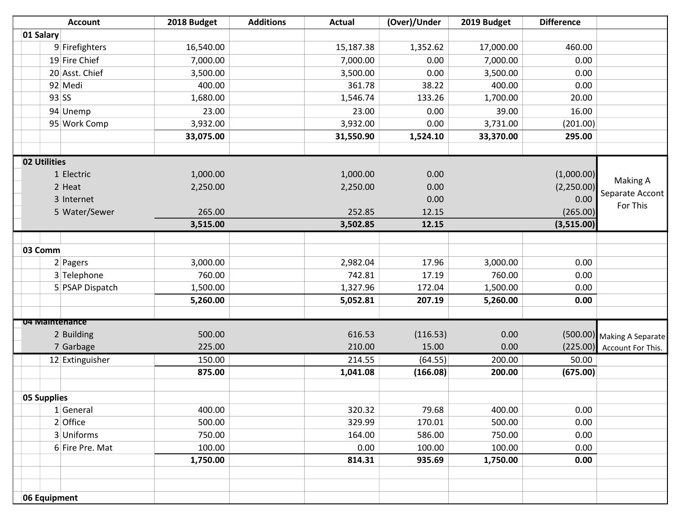|                | <b>Account</b>  | 2018 Budget | <b>Additions</b> | <b>Actual</b> | (Over)/Under | 2019 Budget | <b>Difference</b> |                             |
|----------------|-----------------|-------------|------------------|---------------|--------------|-------------|-------------------|-----------------------------|
| 01 Salary      |                 |             |                  |               |              |             |                   |                             |
|                | 9 Firefighters  | 16,540.00   |                  | 15,187.38     | 1,352.62     | 17,000.00   | 460.00            |                             |
|                | 19 Fire Chief   | 7,000.00    |                  | 7,000.00      | 0.00         | 7,000.00    | 0.00              |                             |
|                | 20 Asst. Chief  | 3,500.00    |                  | 3,500.00      | 0.00         | 3,500.00    | 0.00              |                             |
|                | 92 Medi         | 400.00      |                  | 361.78        | 38.22        | 400.00      | 0.00              |                             |
|                | 93 SS           | 1,680.00    |                  | 1,546.74      | 133.26       | 1,700.00    | 20.00             |                             |
|                | 94 Unemp        | 23.00       |                  | 23.00         | 0.00         | 39.00       | 16.00             |                             |
|                | 95 Work Comp    | 3,932.00    |                  | 3,932.00      | 0.00         | 3,731.00    | (201.00)          |                             |
|                |                 | 33,075.00   |                  | 31,550.90     | 1,524.10     | 33,370.00   | 295.00            |                             |
|                |                 |             |                  |               |              |             |                   |                             |
| 02 Utilities   |                 |             |                  |               |              |             |                   |                             |
|                | 1 Electric      | 1,000.00    |                  | 1,000.00      | 0.00         |             | (1,000.00)        |                             |
|                | 2 Heat          | 2,250.00    |                  | 2,250.00      | 0.00         |             | (2,250.00)        | Making A                    |
|                | 3 Internet      |             |                  |               | 0.00         |             | 0.00              | Separate Accont<br>For This |
|                | 5 Water/Sewer   | 265.00      |                  | 252.85        | 12.15        |             | (265.00)          |                             |
|                |                 | 3,515.00    |                  | 3,502.85      | 12.15        |             | (3,515.00)        |                             |
|                |                 |             |                  |               |              |             |                   |                             |
| 03 Comm        |                 |             |                  |               |              |             |                   |                             |
|                | 2 Pagers        | 3,000.00    |                  | 2,982.04      | 17.96        | 3,000.00    | 0.00              |                             |
|                | 3 Telephone     | 760.00      |                  | 742.81        | 17.19        | 760.00      | 0.00              |                             |
|                | 5 PSAP Dispatch | 1,500.00    |                  | 1,327.96      | 172.04       | 1,500.00    | 0.00              |                             |
|                |                 | 5,260.00    |                  | 5,052.81      | 207.19       | 5,260.00    | 0.00              |                             |
|                |                 |             |                  |               |              |             |                   |                             |
| 04 Maintenance |                 |             |                  |               |              |             |                   |                             |
|                | 2 Building      | 500.00      |                  | 616.53        | (116.53)     | 0.00        |                   | (500.00) Making A Separate  |
|                | 7 Garbage       | 225.00      |                  | 210.00        | 15.00        | 0.00        | (225.00)          | Account For This.           |
|                | 12 Extinguisher | 150.00      |                  | 214.55        | (64.55)      | 200.00      | 50.00             |                             |
|                |                 | 875.00      |                  | 1,041.08      | (166.08)     | 200.00      | (675.00)          |                             |
|                |                 |             |                  |               |              |             |                   |                             |
| 05 Supplies    |                 |             |                  |               |              |             |                   |                             |
|                | $1$ General     | 400.00      |                  | 320.32        | 79.68        | 400.00      | 0.00              |                             |
|                | $2$ Office      | 500.00      |                  | 329.99        | 170.01       | 500.00      | 0.00              |                             |
|                | 3 Uniforms      | 750.00      |                  | 164.00        | 586.00       | 750.00      | 0.00              |                             |
|                | 6 Fire Pre. Mat | 100.00      |                  | 0.00          | 100.00       | 100.00      | 0.00              |                             |
|                |                 | 1,750.00    |                  | 814.31        | 935.69       | 1,750.00    | 0.00              |                             |
|                |                 |             |                  |               |              |             |                   |                             |
|                |                 |             |                  |               |              |             |                   |                             |
| 06 Equipment   |                 |             |                  |               |              |             |                   |                             |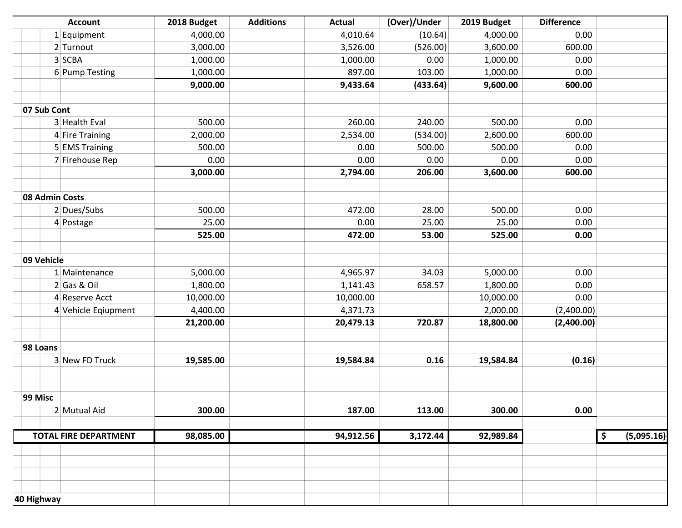|            | <b>Account</b>               | 2018 Budget | <b>Additions</b> | <b>Actual</b> | (Over)/Under | 2019 Budget | <b>Difference</b> |               |            |
|------------|------------------------------|-------------|------------------|---------------|--------------|-------------|-------------------|---------------|------------|
|            | $1$ Equipment                | 4,000.00    |                  | 4,010.64      | (10.64)      | 4,000.00    | 0.00              |               |            |
|            | 2 Turnout                    | 3,000.00    |                  | 3,526.00      | (526.00)     | 3,600.00    | 600.00            |               |            |
|            | 3 SCBA                       | 1,000.00    |                  | 1,000.00      | 0.00         | 1,000.00    | 0.00              |               |            |
|            | 6 Pump Testing               | 1,000.00    |                  | 897.00        | 103.00       | 1,000.00    | 0.00              |               |            |
|            |                              | 9,000.00    |                  | 9,433.64      | (433.64)     | 9,600.00    | 600.00            |               |            |
|            |                              |             |                  |               |              |             |                   |               |            |
|            | 07 Sub Cont                  |             |                  |               |              |             |                   |               |            |
|            | 3 Health Eval                | 500.00      |                  | 260.00        | 240.00       | 500.00      | 0.00              |               |            |
|            | 4 Fire Training              | 2,000.00    |                  | 2,534.00      | (534.00)     | 2,600.00    | 600.00            |               |            |
|            | 5 EMS Training               | 500.00      |                  | 0.00          | 500.00       | 500.00      | 0.00              |               |            |
|            | 7 Firehouse Rep              | 0.00        |                  | 0.00          | 0.00         | 0.00        | 0.00              |               |            |
|            |                              | 3,000.00    |                  | 2,794.00      | 206.00       | 3,600.00    | 600.00            |               |            |
|            |                              |             |                  |               |              |             |                   |               |            |
|            | 08 Admin Costs               |             |                  |               |              |             |                   |               |            |
|            | $2$ Dues/Subs                | 500.00      |                  | 472.00        | 28.00        | 500.00      | 0.00              |               |            |
|            | $4$ Postage                  | 25.00       |                  | 0.00          | 25.00        | 25.00       | 0.00              |               |            |
|            |                              | 525.00      |                  | 472.00        | 53.00        | 525.00      | 0.00              |               |            |
|            |                              |             |                  |               |              |             |                   |               |            |
|            | 09 Vehicle                   |             |                  |               |              |             |                   |               |            |
|            | 1 Maintenance                | 5,000.00    |                  | 4,965.97      | 34.03        | 5,000.00    | 0.00              |               |            |
|            | $2$ Gas & Oil                | 1,800.00    |                  | 1,141.43      | 658.57       | 1,800.00    | 0.00              |               |            |
|            | 4 Reserve Acct               | 10,000.00   |                  | 10,000.00     |              | 10,000.00   | 0.00              |               |            |
|            | 4 Vehicle Eqiupment          | 4,400.00    |                  | 4,371.73      |              | 2,000.00    | (2,400.00)        |               |            |
|            |                              | 21,200.00   |                  | 20,479.13     | 720.87       | 18,800.00   | (2,400.00)        |               |            |
|            |                              |             |                  |               |              |             |                   |               |            |
|            | 98 Loans                     |             |                  |               |              |             |                   |               |            |
|            | 3 New FD Truck               | 19,585.00   |                  | 19,584.84     | 0.16         | 19,584.84   | (0.16)            |               |            |
|            |                              |             |                  |               |              |             |                   |               |            |
|            |                              |             |                  |               |              |             |                   |               |            |
| 99 Misc    |                              |             |                  |               |              |             |                   |               |            |
|            | 2 Mutual Aid                 | 300.00      |                  | 187.00        | 113.00       | 300.00      | 0.00              |               |            |
|            |                              |             |                  |               |              |             |                   |               |            |
|            | <b>TOTAL FIRE DEPARTMENT</b> | 98,085.00   |                  | 94,912.56     | 3,172.44     | 92,989.84   |                   | $\frac{1}{2}$ | (5,095.16) |
|            |                              |             |                  |               |              |             |                   |               |            |
|            |                              |             |                  |               |              |             |                   |               |            |
|            |                              |             |                  |               |              |             |                   |               |            |
|            |                              |             |                  |               |              |             |                   |               |            |
| 40 Highway |                              |             |                  |               |              |             |                   |               |            |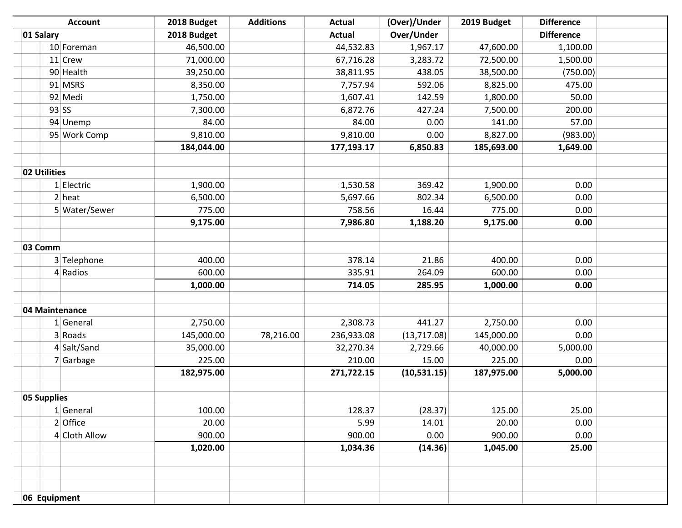| <b>Account</b> | 2018 Budget | <b>Additions</b> | <b>Actual</b> | (Over)/Under | 2019 Budget | <b>Difference</b> |  |
|----------------|-------------|------------------|---------------|--------------|-------------|-------------------|--|
| 01 Salary      | 2018 Budget |                  | <b>Actual</b> | Over/Under   |             | <b>Difference</b> |  |
| 10 Foreman     | 46,500.00   |                  | 44,532.83     | 1,967.17     | 47,600.00   | 1,100.00          |  |
| $11$ Crew      | 71,000.00   |                  | 67,716.28     | 3,283.72     | 72,500.00   | 1,500.00          |  |
| 90 Health      | 39,250.00   |                  | 38,811.95     | 438.05       | 38,500.00   | (750.00)          |  |
| 91 MSRS        | 8,350.00    |                  | 7,757.94      | 592.06       | 8,825.00    | 475.00            |  |
| 92 Medi        | 1,750.00    |                  | 1,607.41      | 142.59       | 1,800.00    | 50.00             |  |
| $93$ SS        | 7,300.00    |                  | 6,872.76      | 427.24       | 7,500.00    | 200.00            |  |
| 94 Unemp       | 84.00       |                  | 84.00         | 0.00         | 141.00      | 57.00             |  |
| 95 Work Comp   | 9,810.00    |                  | 9,810.00      | 0.00         | 8,827.00    | (983.00)          |  |
|                | 184,044.00  |                  | 177,193.17    | 6,850.83     | 185,693.00  | 1,649.00          |  |
|                |             |                  |               |              |             |                   |  |
| 02 Utilities   |             |                  |               |              |             |                   |  |
| 1 Electric     | 1,900.00    |                  | 1,530.58      | 369.42       | 1,900.00    | 0.00              |  |
| $2$ heat       | 6,500.00    |                  | 5,697.66      | 802.34       | 6,500.00    | 0.00              |  |
| 5 Water/Sewer  | 775.00      |                  | 758.56        | 16.44        | 775.00      | 0.00              |  |
|                | 9,175.00    |                  | 7,986.80      | 1,188.20     | 9,175.00    | 0.00              |  |
| 03 Comm        |             |                  |               |              |             |                   |  |
| 3 Telephone    | 400.00      |                  | 378.14        | 21.86        | 400.00      | 0.00              |  |
| 4 Radios       | 600.00      |                  | 335.91        | 264.09       | 600.00      | 0.00              |  |
|                | 1,000.00    |                  | 714.05        | 285.95       | 1,000.00    | 0.00              |  |
| 04 Maintenance |             |                  |               |              |             |                   |  |
| $1$ General    | 2,750.00    |                  | 2,308.73      | 441.27       | 2,750.00    | 0.00              |  |
| 3 Roads        | 145,000.00  | 78,216.00        | 236,933.08    | (13,717.08)  | 145,000.00  | 0.00              |  |
| 4 Salt/Sand    | 35,000.00   |                  | 32,270.34     | 2,729.66     | 40,000.00   | 5,000.00          |  |
| $7$ Garbage    | 225.00      |                  | 210.00        | 15.00        | 225.00      | 0.00              |  |
|                | 182,975.00  |                  | 271,722.15    | (10,531.15)  | 187,975.00  | 5,000.00          |  |
|                |             |                  |               |              |             |                   |  |
| 05 Supplies    |             |                  |               |              |             |                   |  |
| 1 General      | 100.00      |                  | 128.37        | (28.37)      | 125.00      | 25.00             |  |
| 2 Office       | 20.00       |                  | 5.99          | 14.01        | 20.00       | 0.00              |  |
| 4 Cloth Allow  | 900.00      |                  | 900.00        | 0.00         | 900.00      | 0.00              |  |
|                | 1,020.00    |                  | 1,034.36      | (14.36)      | 1,045.00    | 25.00             |  |
|                |             |                  |               |              |             |                   |  |
|                |             |                  |               |              |             |                   |  |
|                |             |                  |               |              |             |                   |  |
| 06 Equipment   |             |                  |               |              |             |                   |  |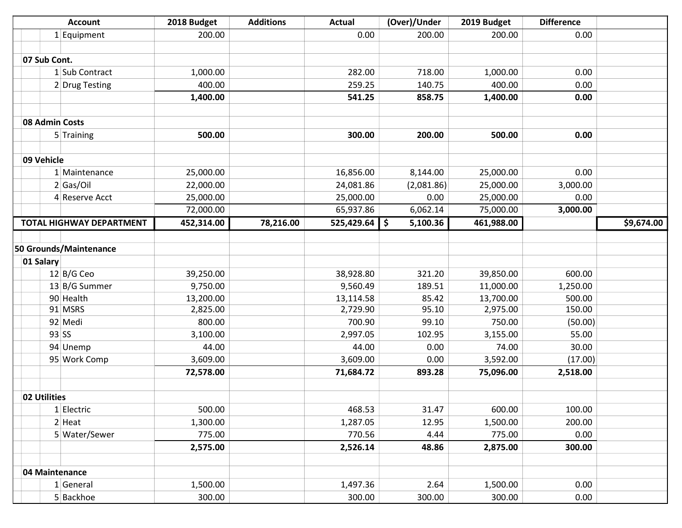|                | <b>Account</b>                  | 2018 Budget | <b>Additions</b> | <b>Actual</b>   | (Over)/Under | 2019 Budget | <b>Difference</b> |            |
|----------------|---------------------------------|-------------|------------------|-----------------|--------------|-------------|-------------------|------------|
|                | $1$ Equipment                   | 200.00      |                  | 0.00            | 200.00       | 200.00      | 0.00              |            |
|                |                                 |             |                  |                 |              |             |                   |            |
| 07 Sub Cont.   |                                 |             |                  |                 |              |             |                   |            |
|                | 1 Sub Contract                  | 1,000.00    |                  | 282.00          | 718.00       | 1,000.00    | 0.00              |            |
|                | 2 Drug Testing                  | 400.00      |                  | 259.25          | 140.75       | 400.00      | 0.00              |            |
|                |                                 | 1,400.00    |                  | 541.25          | 858.75       | 1,400.00    | 0.00              |            |
|                |                                 |             |                  |                 |              |             |                   |            |
| 08 Admin Costs |                                 |             |                  |                 |              |             |                   |            |
|                | 5 Training                      | 500.00      |                  | 300.00          | 200.00       | 500.00      | 0.00              |            |
|                |                                 |             |                  |                 |              |             |                   |            |
| 09 Vehicle     |                                 |             |                  |                 |              |             |                   |            |
|                | 1 Maintenance                   | 25,000.00   |                  | 16,856.00       | 8,144.00     | 25,000.00   | 0.00              |            |
|                | $2$ Gas/Oil                     | 22,000.00   |                  | 24,081.86       | (2,081.86)   | 25,000.00   | 3,000.00          |            |
|                | 4 Reserve Acct                  | 25,000.00   |                  | 25,000.00       | 0.00         | 25,000.00   | 0.00              |            |
|                |                                 | 72,000.00   |                  | 65,937.86       | 6,062.14     | 75,000.00   | 3,000.00          |            |
|                | <b>TOTAL HIGHWAY DEPARTMENT</b> | 452,314.00  | 78,216.00        | $525,429.64$ \$ | 5,100.36     | 461,988.00  |                   | \$9,674.00 |
|                |                                 |             |                  |                 |              |             |                   |            |
|                | 50 Grounds/Maintenance          |             |                  |                 |              |             |                   |            |
| 01 Salary      |                                 |             |                  |                 |              |             |                   |            |
|                | $12$ B/G Ceo                    | 39,250.00   |                  | 38,928.80       | 321.20       | 39,850.00   | 600.00            |            |
|                | 13 B/G Summer                   | 9,750.00    |                  | 9,560.49        | 189.51       | 11,000.00   | 1,250.00          |            |
|                | 90 Health                       | 13,200.00   |                  | 13,114.58       | 85.42        | 13,700.00   | 500.00            |            |
|                | 91 MSRS                         | 2,825.00    |                  | 2,729.90        | 95.10        | 2,975.00    | 150.00            |            |
|                | 92 Medi                         | 800.00      |                  | 700.90          | 99.10        | 750.00      | (50.00)           |            |
|                | $93$ SS                         | 3,100.00    |                  | 2,997.05        | 102.95       | 3,155.00    | 55.00             |            |
|                | 94 Unemp                        | 44.00       |                  | 44.00           | 0.00         | 74.00       | 30.00             |            |
|                | 95 Work Comp                    | 3,609.00    |                  | 3,609.00        | 0.00         | 3,592.00    | (17.00)           |            |
|                |                                 | 72,578.00   |                  | 71,684.72       | 893.28       | 75,096.00   | 2,518.00          |            |
|                |                                 |             |                  |                 |              |             |                   |            |
| 02 Utilities   |                                 |             |                  |                 |              |             |                   |            |
|                | 1 Electric                      | 500.00      |                  | 468.53          | 31.47        | 600.00      | 100.00            |            |
|                | $2$ Heat                        | 1,300.00    |                  | 1,287.05        | 12.95        | 1,500.00    | 200.00            |            |
|                | 5 Water/Sewer                   | 775.00      |                  | 770.56          | 4.44         | 775.00      | 0.00              |            |
|                |                                 | 2,575.00    |                  | 2,526.14        | 48.86        | 2,875.00    | 300.00            |            |
|                |                                 |             |                  |                 |              |             |                   |            |
| 04 Maintenance |                                 |             |                  |                 |              |             |                   |            |
|                | $1$ General                     | 1,500.00    |                  | 1,497.36        | 2.64         | 1,500.00    | 0.00              |            |
|                | 5 Backhoe                       | 300.00      |                  | 300.00          | 300.00       | 300.00      | 0.00              |            |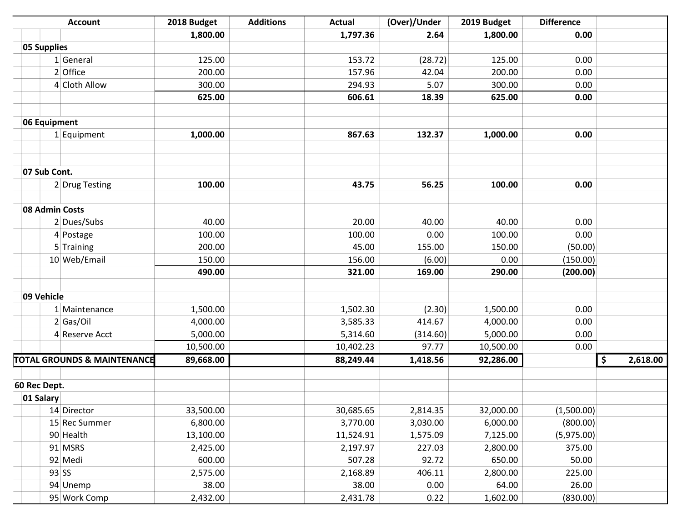|                | <b>Account</b>                         | 2018 Budget | <b>Additions</b> | <b>Actual</b> | (Over)/Under | 2019 Budget | <b>Difference</b> |                |
|----------------|----------------------------------------|-------------|------------------|---------------|--------------|-------------|-------------------|----------------|
|                |                                        | 1,800.00    |                  | 1,797.36      | 2.64         | 1,800.00    | 0.00              |                |
| 05 Supplies    |                                        |             |                  |               |              |             |                   |                |
|                | 1 General                              | 125.00      |                  | 153.72        | (28.72)      | 125.00      | 0.00              |                |
|                | 2 Office                               | 200.00      |                  | 157.96        | 42.04        | 200.00      | 0.00              |                |
|                | 4 Cloth Allow                          | 300.00      |                  | 294.93        | 5.07         | 300.00      | 0.00              |                |
|                |                                        | 625.00      |                  | 606.61        | 18.39        | 625.00      | 0.00              |                |
|                |                                        |             |                  |               |              |             |                   |                |
| 06 Equipment   |                                        |             |                  |               |              |             |                   |                |
|                | 1 Equipment                            | 1,000.00    |                  | 867.63        | 132.37       | 1,000.00    | 0.00              |                |
|                |                                        |             |                  |               |              |             |                   |                |
|                |                                        |             |                  |               |              |             |                   |                |
| 07 Sub Cont.   |                                        |             |                  |               |              |             |                   |                |
|                | 2 Drug Testing                         | 100.00      |                  | 43.75         | 56.25        | 100.00      | 0.00              |                |
|                |                                        |             |                  |               |              |             |                   |                |
| 08 Admin Costs |                                        |             |                  |               |              |             |                   |                |
|                | 2 Dues/Subs                            | 40.00       |                  | 20.00         | 40.00        | 40.00       | 0.00              |                |
|                | 4 Postage                              | 100.00      |                  | 100.00        | 0.00         | 100.00      | 0.00              |                |
|                | 5 Training                             | 200.00      |                  | 45.00         | 155.00       | 150.00      | (50.00)           |                |
|                | 10 Web/Email                           | 150.00      |                  | 156.00        | (6.00)       | 0.00        | (150.00)          |                |
|                |                                        | 490.00      |                  | 321.00        | 169.00       | 290.00      | (200.00)          |                |
|                |                                        |             |                  |               |              |             |                   |                |
| 09 Vehicle     |                                        |             |                  |               |              |             |                   |                |
|                | 1 Maintenance                          | 1,500.00    |                  | 1,502.30      | (2.30)       | 1,500.00    | 0.00              |                |
|                | 2 Gas/Oi                               | 4,000.00    |                  | 3,585.33      | 414.67       | 4,000.00    | 0.00              |                |
|                | 4 Reserve Acct                         | 5,000.00    |                  | 5,314.60      | (314.60)     | 5,000.00    | 0.00              |                |
|                |                                        | 10,500.00   |                  | 10,402.23     | 97.77        | 10,500.00   | 0.00              |                |
|                | <b>TOTAL GROUNDS &amp; MAINTENANCE</b> | 89,668.00   |                  | 88,249.44     | 1,418.56     | 92,286.00   |                   | 2,618.00<br>\$ |
|                |                                        |             |                  |               |              |             |                   |                |
| 60 Rec Dept.   |                                        |             |                  |               |              |             |                   |                |
| 01 Salary      |                                        |             |                  |               |              |             |                   |                |
|                | 14 Director                            | 33,500.00   |                  | 30,685.65     | 2,814.35     | 32,000.00   | (1,500.00)        |                |
|                | 15 Rec Summer                          | 6,800.00    |                  | 3,770.00      | 3,030.00     | 6,000.00    | (800.00)          |                |
|                | 90 Health                              | 13,100.00   |                  | 11,524.91     | 1,575.09     | 7,125.00    | (5,975.00)        |                |
|                | 91 MSRS                                | 2,425.00    |                  | 2,197.97      | 227.03       | 2,800.00    | 375.00            |                |
|                | 92 Medi                                | 600.00      |                  | 507.28        | 92.72        | 650.00      | 50.00             |                |
|                | $93$ SS                                | 2,575.00    |                  | 2,168.89      | 406.11       | 2,800.00    | 225.00            |                |
|                | 94 Unemp                               | 38.00       |                  | 38.00         | 0.00         | 64.00       | 26.00             |                |
|                | 95 Work Comp                           | 2,432.00    |                  | 2,431.78      | 0.22         | 1,602.00    | (830.00)          |                |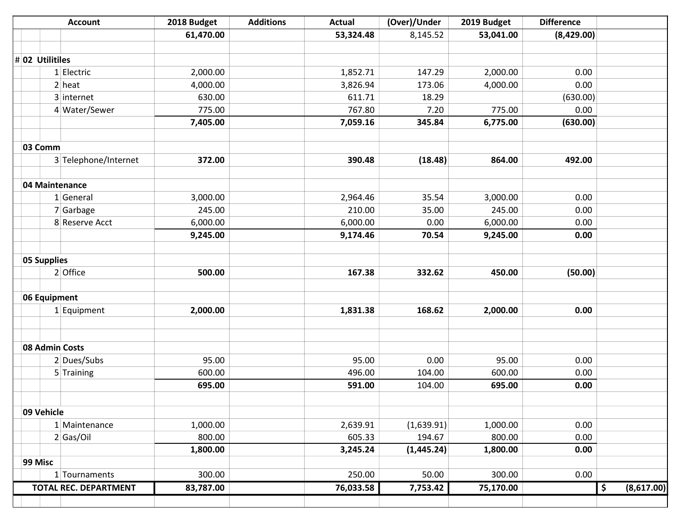| <b>Account</b>               | 2018 Budget | <b>Additions</b> | <b>Actual</b> | (Over)/Under | 2019 Budget | <b>Difference</b> |                  |
|------------------------------|-------------|------------------|---------------|--------------|-------------|-------------------|------------------|
|                              | 61,470.00   |                  | 53,324.48     | 8,145.52     | 53,041.00   | (8,429.00)        |                  |
|                              |             |                  |               |              |             |                   |                  |
| $\#$ 02 Utilitiles           |             |                  |               |              |             |                   |                  |
| 1 Electric                   | 2,000.00    |                  | 1,852.71      | 147.29       | 2,000.00    | 0.00              |                  |
| $2$ heat                     | 4,000.00    |                  | 3,826.94      | 173.06       | 4,000.00    | 0.00              |                  |
| 3 internet                   | 630.00      |                  | 611.71        | 18.29        |             | (630.00)          |                  |
| 4 Water/Sewer                | 775.00      |                  | 767.80        | 7.20         | 775.00      | 0.00              |                  |
|                              | 7,405.00    |                  | 7,059.16      | 345.84       | 6,775.00    | (630.00)          |                  |
|                              |             |                  |               |              |             |                   |                  |
| 03 Comm                      |             |                  |               |              |             |                   |                  |
| 3 Telephone/Internet         | 372.00      |                  | 390.48        | (18.48)      | 864.00      | 492.00            |                  |
| 04 Maintenance               |             |                  |               |              |             |                   |                  |
| 1 General                    | 3,000.00    |                  | 2,964.46      | 35.54        | 3,000.00    | 0.00              |                  |
| 7 Garbage                    | 245.00      |                  | 210.00        | 35.00        | 245.00      | 0.00              |                  |
| 8 Reserve Acct               | 6,000.00    |                  | 6,000.00      | 0.00         | 6,000.00    | 0.00              |                  |
|                              | 9,245.00    |                  | 9,174.46      | 70.54        | 9,245.00    | 0.00              |                  |
|                              |             |                  |               |              |             |                   |                  |
| 05 Supplies                  |             |                  |               |              |             |                   |                  |
| 2 Office                     | 500.00      |                  | 167.38        | 332.62       | 450.00      | (50.00)           |                  |
| 06 Equipment                 |             |                  |               |              |             |                   |                  |
| $1$ Equipment                | 2,000.00    |                  | 1,831.38      | 168.62       | 2,000.00    | 0.00              |                  |
|                              |             |                  |               |              |             |                   |                  |
|                              |             |                  |               |              |             |                   |                  |
| 08 Admin Costs               |             |                  |               |              |             |                   |                  |
| 2 Dues/Subs                  | 95.00       |                  | 95.00         | 0.00         | 95.00       | 0.00              |                  |
| 5 Training                   | 600.00      |                  | 496.00        | 104.00       | 600.00      | 0.00              |                  |
|                              | 695.00      |                  | 591.00        | 104.00       | 695.00      | 0.00              |                  |
| 09 Vehicle                   |             |                  |               |              |             |                   |                  |
| 1 Maintenance                | 1,000.00    |                  | 2,639.91      | (1,639.91)   | 1,000.00    | 0.00              |                  |
| 2 Gas/Oi                     | 800.00      |                  | 605.33        | 194.67       | 800.00      | 0.00              |                  |
|                              | 1,800.00    |                  | 3,245.24      | (1,445.24)   | 1,800.00    | 0.00              |                  |
| 99 Misc                      |             |                  |               |              |             |                   |                  |
| 1 Tournaments                | 300.00      |                  | 250.00        | 50.00        | 300.00      | 0.00              |                  |
| <b>TOTAL REC. DEPARTMENT</b> | 83,787.00   |                  | 76,033.58     | 7,753.42     | 75,170.00   |                   | \$<br>(8,617.00) |
|                              |             |                  |               |              |             |                   |                  |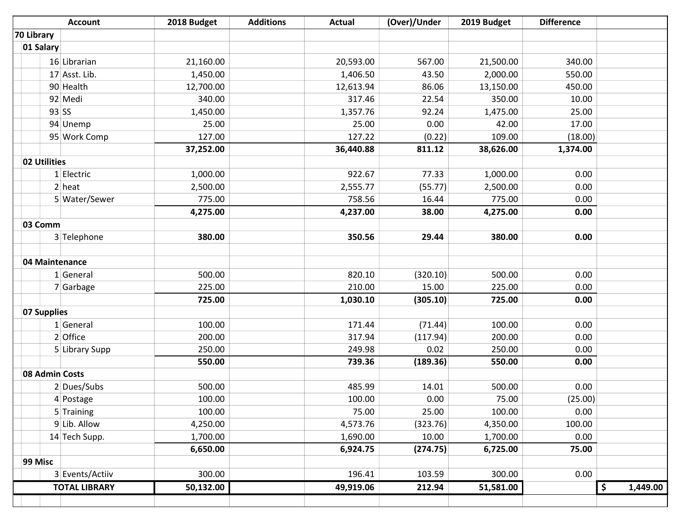|            | <b>Account</b>       | 2018 Budget | <b>Additions</b> | <b>Actual</b> | (Over)/Under | 2019 Budget | <b>Difference</b> |          |
|------------|----------------------|-------------|------------------|---------------|--------------|-------------|-------------------|----------|
| 70 Library |                      |             |                  |               |              |             |                   |          |
| 01 Salary  |                      |             |                  |               |              |             |                   |          |
|            | 16 Librarian         | 21,160.00   |                  | 20,593.00     | 567.00       | 21,500.00   | 340.00            |          |
|            | 17 Asst. Lib.        | 1,450.00    |                  | 1,406.50      | 43.50        | 2,000.00    | 550.00            |          |
|            | 90 Health            | 12,700.00   |                  | 12,613.94     | 86.06        | 13,150.00   | 450.00            |          |
|            | 92 Medi              | 340.00      |                  | 317.46        | 22.54        | 350.00      | 10.00             |          |
|            | $93$ SS              | 1,450.00    |                  | 1,357.76      | 92.24        | 1,475.00    | 25.00             |          |
|            | 94 Unemp             | 25.00       |                  | 25.00         | 0.00         | 42.00       | 17.00             |          |
|            | 95 Work Comp         | 127.00      |                  | 127.22        | (0.22)       | 109.00      | (18.00)           |          |
|            |                      | 37,252.00   |                  | 36,440.88     | 811.12       | 38,626.00   | 1,374.00          |          |
|            | 02 Utilities         |             |                  |               |              |             |                   |          |
|            | 1 Electric           | 1,000.00    |                  | 922.67        | 77.33        | 1,000.00    | 0.00              |          |
|            | $2$ heat             | 2,500.00    |                  | 2,555.77      | (55.77)      | 2,500.00    | 0.00              |          |
|            | 5 Water/Sewer        | 775.00      |                  | 758.56        | 16.44        | 775.00      | 0.00              |          |
|            |                      | 4,275.00    |                  | 4,237.00      | 38.00        | 4,275.00    | 0.00              |          |
| 03 Comm    |                      |             |                  |               |              |             |                   |          |
|            | 3 Telephone          | 380.00      |                  | 350.56        | 29.44        | 380.00      | 0.00              |          |
|            |                      |             |                  |               |              |             |                   |          |
|            | 04 Maintenance       |             |                  |               |              |             |                   |          |
|            | 1 General            | 500.00      |                  | 820.10        | (320.10)     | 500.00      | 0.00              |          |
|            | 7 Garbage            | 225.00      |                  | 210.00        | 15.00        | 225.00      | 0.00              |          |
|            |                      | 725.00      |                  | 1,030.10      | (305.10)     | 725.00      | 0.00              |          |
|            | 07 Supplies          |             |                  |               |              |             |                   |          |
|            | 1 General            | 100.00      |                  | 171.44        | (71.44)      | 100.00      | 0.00              |          |
|            | $2$ Office           | 200.00      |                  | 317.94        | (117.94)     | 200.00      | 0.00              |          |
|            | 5 Library Supp       | 250.00      |                  | 249.98        | 0.02         | 250.00      | 0.00              |          |
|            |                      | 550.00      |                  | 739.36        | (189.36)     | 550.00      | 0.00              |          |
|            | 08 Admin Costs       |             |                  |               |              |             |                   |          |
|            | 2 Dues/Subs          | 500.00      |                  | 485.99        | 14.01        | 500.00      | 0.00              |          |
|            | 4 Postage            | 100.00      |                  | 100.00        | 0.00         | 75.00       | (25.00)           |          |
|            | 5 Training           | 100.00      |                  | 75.00         | 25.00        | 100.00      | 0.00              |          |
|            | $9$ Lib. Allow       | 4,250.00    |                  | 4,573.76      | (323.76)     | 4,350.00    | 100.00            |          |
|            | 14 Tech Supp.        | 1,700.00    |                  | 1,690.00      | 10.00        | 1,700.00    | 0.00              |          |
|            |                      | 6,650.00    |                  | 6,924.75      | (274.75)     | 6,725.00    | 75.00             |          |
| 99 Misc    |                      |             |                  |               |              |             |                   |          |
|            | 3 Events/Actiiv      | 300.00      |                  | 196.41        | 103.59       | 300.00      | 0.00              |          |
|            | <b>TOTAL LIBRARY</b> | 50,132.00   |                  | 49,919.06     | 212.94       | 51,581.00   | \$                | 1,449.00 |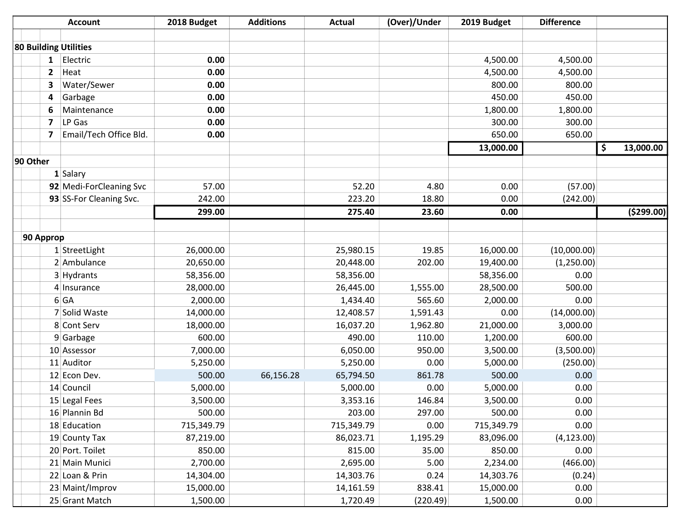|           |              | <b>Account</b>               | 2018 Budget | <b>Additions</b> | <b>Actual</b> | (Over)/Under | 2019 Budget | <b>Difference</b> |                 |
|-----------|--------------|------------------------------|-------------|------------------|---------------|--------------|-------------|-------------------|-----------------|
|           |              |                              |             |                  |               |              |             |                   |                 |
|           |              | <b>80 Building Utilities</b> |             |                  |               |              |             |                   |                 |
|           | $\mathbf{1}$ | Electric                     | 0.00        |                  |               |              | 4,500.00    | 4,500.00          |                 |
|           | $\mathbf{2}$ | Heat                         | 0.00        |                  |               |              | 4,500.00    | 4,500.00          |                 |
|           | 3            | Water/Sewer                  | 0.00        |                  |               |              | 800.00      | 800.00            |                 |
|           | 4            | Garbage                      | 0.00        |                  |               |              | 450.00      | 450.00            |                 |
|           | 6            | Maintenance                  | 0.00        |                  |               |              | 1,800.00    | 1,800.00          |                 |
|           | 7            | LP Gas                       | 0.00        |                  |               |              | 300.00      | 300.00            |                 |
|           | 7            | Email/Tech Office Bld.       | 0.00        |                  |               |              | 650.00      | 650.00            |                 |
|           |              |                              |             |                  |               |              | 13,000.00   |                   | \$<br>13,000.00 |
| 90 Other  |              |                              |             |                  |               |              |             |                   |                 |
|           |              | 1 Salary                     |             |                  |               |              |             |                   |                 |
|           |              | 92 Medi-ForCleaning Svc      | 57.00       |                  | 52.20         | 4.80         | 0.00        | (57.00)           |                 |
|           |              | 93 SS-For Cleaning Svc.      | 242.00      |                  | 223.20        | 18.80        | 0.00        | (242.00)          |                 |
|           |              |                              | 299.00      |                  | 275.40        | 23.60        | 0.00        |                   | ( \$299.00)     |
|           |              |                              |             |                  |               |              |             |                   |                 |
| 90 Approp |              |                              |             |                  |               |              |             |                   |                 |
|           |              | 1 StreetLight                | 26,000.00   |                  | 25,980.15     | 19.85        | 16,000.00   | (10,000.00)       |                 |
|           |              | 2 Ambulance                  | 20,650.00   |                  | 20,448.00     | 202.00       | 19,400.00   | (1,250.00)        |                 |
|           |              | 3 Hydrants                   | 58,356.00   |                  | 58,356.00     |              | 58,356.00   | 0.00              |                 |
|           |              | 4 Insurance                  | 28,000.00   |                  | 26,445.00     | 1,555.00     | 28,500.00   | 500.00            |                 |
|           |              | $6$ GA                       | 2,000.00    |                  | 1,434.40      | 565.60       | 2,000.00    | 0.00              |                 |
|           |              | 7 Solid Waste                | 14,000.00   |                  | 12,408.57     | 1,591.43     | 0.00        | (14,000.00)       |                 |
|           |              | 8 Cont Serv                  | 18,000.00   |                  | 16,037.20     | 1,962.80     | 21,000.00   | 3,000.00          |                 |
|           |              | $9$ Garbage                  | 600.00      |                  | 490.00        | 110.00       | 1,200.00    | 600.00            |                 |
|           |              | 10 Assessor                  | 7,000.00    |                  | 6,050.00      | 950.00       | 3,500.00    | (3,500.00)        |                 |
|           |              | 11 Auditor                   | 5,250.00    |                  | 5,250.00      | 0.00         | 5,000.00    | (250.00)          |                 |
|           |              | 12 Econ Dev.                 | 500.00      | 66,156.28        | 65,794.50     | 861.78       | 500.00      | 0.00              |                 |
|           |              | 14 Council                   | 5,000.00    |                  | 5,000.00      | 0.00         | 5,000.00    | 0.00              |                 |
|           |              | 15 Legal Fees                | 3,500.00    |                  | 3,353.16      | 146.84       | 3,500.00    | 0.00              |                 |
|           |              | 16 Plannin Bd                | 500.00      |                  | 203.00        | 297.00       | 500.00      | 0.00              |                 |
|           |              | 18 Education                 | 715,349.79  |                  | 715,349.79    | 0.00         | 715,349.79  | 0.00              |                 |
|           |              | 19 County Tax                | 87,219.00   |                  | 86,023.71     | 1,195.29     | 83,096.00   | (4, 123.00)       |                 |
|           |              | 20 Port. Toilet              | 850.00      |                  | 815.00        | 35.00        | 850.00      | 0.00              |                 |
|           |              | 21 Main Munici               | 2,700.00    |                  | 2,695.00      | 5.00         | 2,234.00    | (466.00)          |                 |
|           |              | 22 Loan & Prin               | 14,304.00   |                  | 14,303.76     | 0.24         | 14,303.76   | (0.24)            |                 |
|           |              | 23 Maint/Improv              | 15,000.00   |                  | 14,161.59     | 838.41       | 15,000.00   | 0.00              |                 |
|           |              | 25 Grant Match               | 1,500.00    |                  | 1,720.49      | (220.49)     | 1,500.00    | 0.00              |                 |